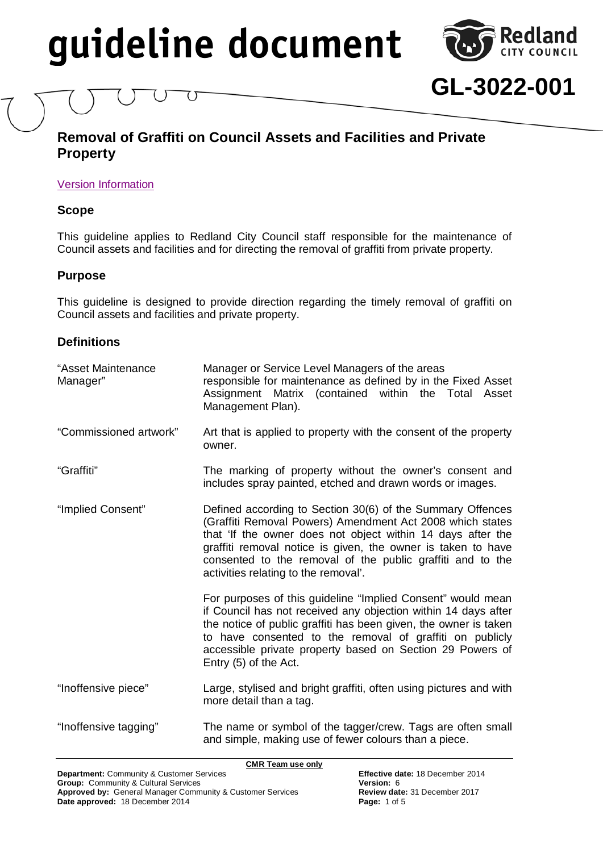

**GL-3022-001**

# <span id="page-0-0"></span>**Removal of Graffiti on Council Assets and Facilities and Private Property**

### [Version Information](#page-4-0)

### **Scope**

This guideline applies to Redland City Council staff responsible for the maintenance of Council assets and facilities and for directing the removal of graffiti from private property.

### **Purpose**

This guideline is designed to provide direction regarding the timely removal of graffiti on Council assets and facilities and private property.

# **Definitions**

| "Asset Maintenance<br>Manager" | Manager or Service Level Managers of the areas<br>responsible for maintenance as defined by in the Fixed Asset<br>Assignment Matrix (contained within the Total Asset<br>Management Plan).                                                                                                                                                                   |  |
|--------------------------------|--------------------------------------------------------------------------------------------------------------------------------------------------------------------------------------------------------------------------------------------------------------------------------------------------------------------------------------------------------------|--|
| "Commissioned artwork"         | Art that is applied to property with the consent of the property<br>owner.                                                                                                                                                                                                                                                                                   |  |
| "Graffiti"                     | The marking of property without the owner's consent and<br>includes spray painted, etched and drawn words or images.                                                                                                                                                                                                                                         |  |
| "Implied Consent"              | Defined according to Section 30(6) of the Summary Offences<br>(Graffiti Removal Powers) Amendment Act 2008 which states<br>that 'If the owner does not object within 14 days after the<br>graffiti removal notice is given, the owner is taken to have<br>consented to the removal of the public graffiti and to the<br>activities relating to the removal'. |  |
|                                | For purposes of this guideline "Implied Consent" would mean<br>if Council has not received any objection within 14 days after<br>the notice of public graffiti has been given, the owner is taken<br>to have consented to the removal of graffiti on publicly<br>accessible private property based on Section 29 Powers of<br>Entry (5) of the Act.          |  |
| "Inoffensive piece"            | Large, stylised and bright graffiti, often using pictures and with<br>more detail than a tag.                                                                                                                                                                                                                                                                |  |
| "Inoffensive tagging"          | The name or symbol of the tagger/crew. Tags are often small<br>and simple, making use of fewer colours than a piece.                                                                                                                                                                                                                                         |  |

**CMR Team use only**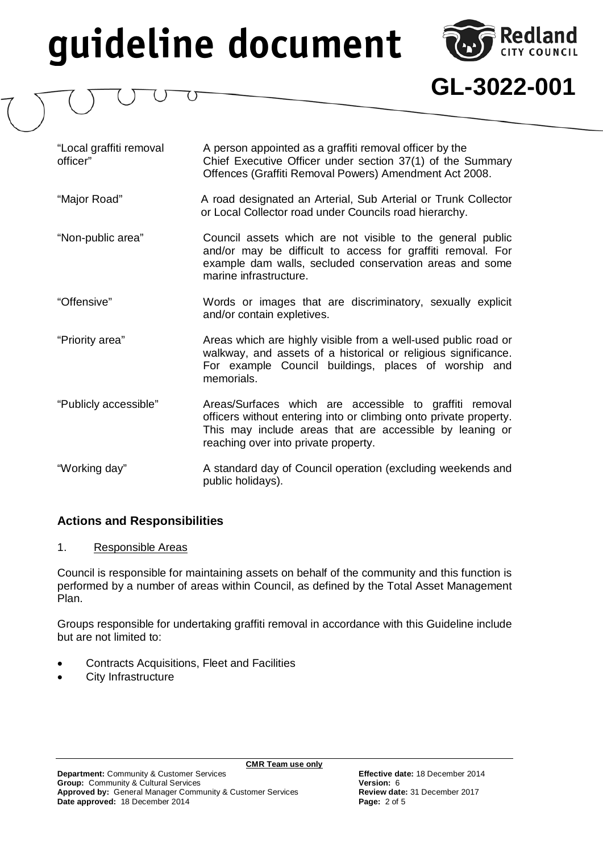

**GL-3022-001**

"Local graffiti removal A person appointed as a graffiti removal officer by the Chief Executive Officer under section 37(1) of the Summary Offences (Graffiti Removal Powers) Amendment Act 2008.

- "Major Road" A road designated an Arterial, Sub Arterial or Trunk Collector or Local Collector road under Councils road hierarchy.
- "Non-public area" Council assets which are not visible to the general public and/or may be difficult to access for graffiti removal. For example dam walls, secluded conservation areas and some marine infrastructure.
- "Offensive" Words or images that are discriminatory, sexually explicit and/or contain expletives.
- "Priority area" Areas which are highly visible from a well-used public road or walkway, and assets of a historical or religious significance. For example Council buildings, places of worship and memorials.
- "Publicly accessible" Areas/Surfaces which are accessible to graffiti removal officers without entering into or climbing onto private property. This may include areas that are accessible by leaning or reaching over into private property.
- "Working day" A standard day of Council operation (excluding weekends and public holidays).

# **Actions and Responsibilities**

### 1. Responsible Areas

Council is responsible for maintaining assets on behalf of the community and this function is performed by a number of areas within Council, as defined by the Total Asset Management Plan.

Groups responsible for undertaking graffiti removal in accordance with this Guideline include but are not limited to:

- Contracts Acquisitions, Fleet and Facilities
- City Infrastructure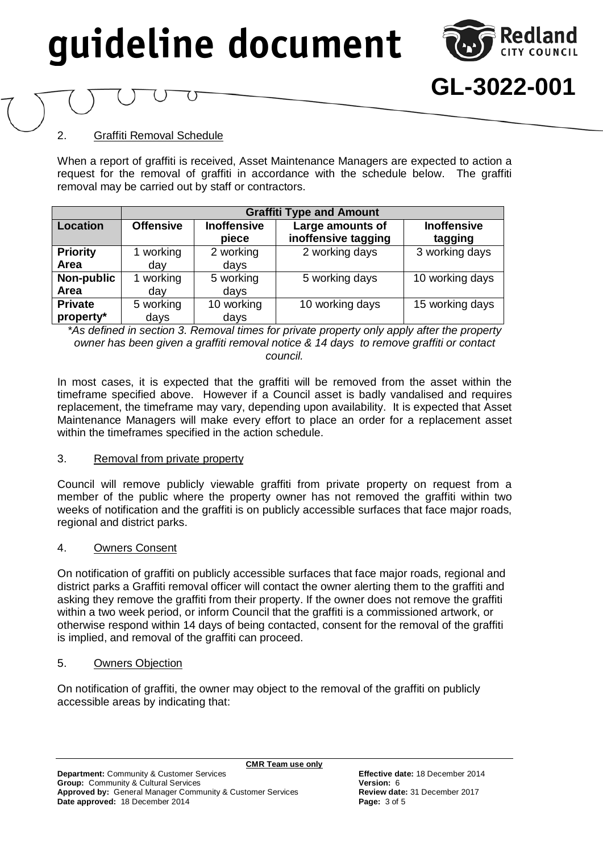

**GL-3022-001**

## 2. Graffiti Removal Schedule

When a report of graffiti is received, Asset Maintenance Managers are expected to action a request for the removal of graffiti in accordance with the schedule below. The graffiti removal may be carried out by staff or contractors.

|                             | <b>Graffiti Type and Amount</b> |                             |                                         |                               |  |
|-----------------------------|---------------------------------|-----------------------------|-----------------------------------------|-------------------------------|--|
| <b>Location</b>             | <b>Offensive</b>                | <b>Inoffensive</b><br>piece | Large amounts of<br>inoffensive tagging | <b>Inoffensive</b><br>tagging |  |
| <b>Priority</b><br>Area     | working<br>day                  | 2 working<br>days           | 2 working days                          | 3 working days                |  |
| Non-public<br>Area          | working<br>day                  | 5 working<br>days           | 5 working days                          | 10 working days               |  |
| <b>Private</b><br>property* | 5 working<br>days               | 10 working<br>days          | 10 working days                         | 15 working days               |  |

*\*As defined in section 3. Removal times for private property only apply after the property owner has been given a graffiti removal notice & 14 days to remove graffiti or contact council.*

In most cases, it is expected that the graffiti will be removed from the asset within the timeframe specified above. However if a Council asset is badly vandalised and requires replacement, the timeframe may vary, depending upon availability. It is expected that Asset Maintenance Managers will make every effort to place an order for a replacement asset within the timeframes specified in the action schedule.

#### 3. Removal from private property

Council will remove publicly viewable graffiti from private property on request from a member of the public where the property owner has not removed the graffiti within two weeks of notification and the graffiti is on publicly accessible surfaces that face major roads, regional and district parks.

#### 4. Owners Consent

On notification of graffiti on publicly accessible surfaces that face major roads, regional and district parks a Graffiti removal officer will contact the owner alerting them to the graffiti and asking they remove the graffiti from their property. If the owner does not remove the graffiti within a two week period, or inform Council that the graffiti is a commissioned artwork, or otherwise respond within 14 days of being contacted, consent for the removal of the graffiti is implied, and removal of the graffiti can proceed.

#### 5. Owners Objection

On notification of graffiti, the owner may object to the removal of the graffiti on publicly accessible areas by indicating that: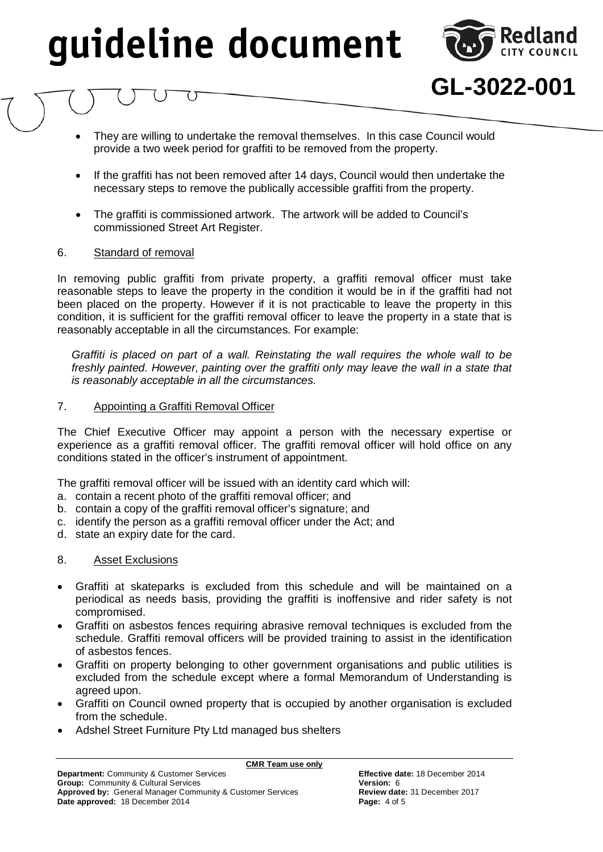

**GL-3022-001**

- They are willing to undertake the removal themselves. In this case Council would provide a two week period for graffiti to be removed from the property.
- If the graffiti has not been removed after 14 days, Council would then undertake the necessary steps to remove the publically accessible graffiti from the property.
- The graffiti is commissioned artwork. The artwork will be added to Council's commissioned Street Art Register.

#### 6. Standard of removal

In removing public graffiti from private property, a graffiti removal officer must take reasonable steps to leave the property in the condition it would be in if the graffiti had not been placed on the property. However if it is not practicable to leave the property in this condition, it is sufficient for the graffiti removal officer to leave the property in a state that is reasonably acceptable in all the circumstances. For example:

*Graffiti is placed on part of a wall. Reinstating the wall requires the whole wall to be*  freshly painted. However, painting over the graffiti only may leave the wall in a state that *is reasonably acceptable in all the circumstances.*

#### 7. Appointing a Graffiti Removal Officer

The Chief Executive Officer may appoint a person with the necessary expertise or experience as a graffiti removal officer. The graffiti removal officer will hold office on any conditions stated in the officer's instrument of appointment.

The graffiti removal officer will be issued with an identity card which will:

- a. contain a recent photo of the graffiti removal officer; and
- b. contain a copy of the graffiti removal officer's signature; and
- c. identify the person as a graffiti removal officer under the Act; and
- d. state an expiry date for the card.

#### 8. Asset Exclusions

- Graffiti at skateparks is excluded from this schedule and will be maintained on a periodical as needs basis, providing the graffiti is inoffensive and rider safety is not compromised.
- Graffiti on asbestos fences requiring abrasive removal techniques is excluded from the schedule. Graffiti removal officers will be provided training to assist in the identification of asbestos fences.
- Graffiti on property belonging to other government organisations and public utilities is excluded from the schedule except where a formal Memorandum of Understanding is agreed upon.
- Graffiti on Council owned property that is occupied by another organisation is excluded from the schedule.
- Adshel Street Furniture Pty Ltd managed bus shelters